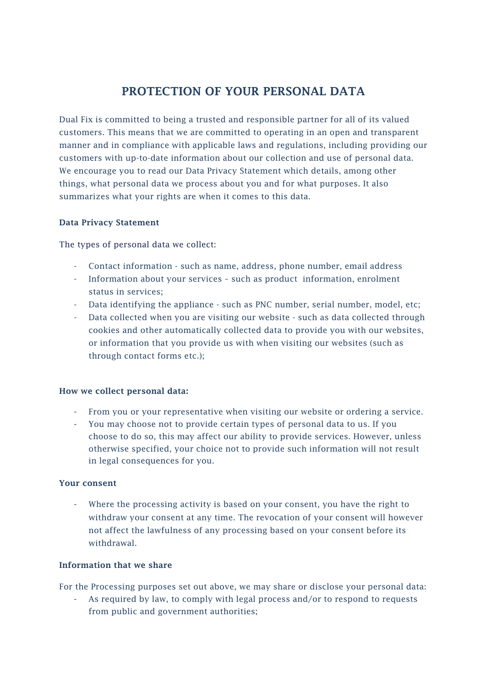# PROTECTION OF YOUR PERSONAL DATA

Dual Fix is committed to being a trusted and responsible partner for all of its valued customers. This means that we are committed to operating in an open and transparent manner and in compliance with applicable laws and regulations, including providing our customers with up-to-date information about our collection and use of personal data. We encourage you to read our Data Privacy Statement which details, among other things, what personal data we process about you and for what purposes. It also summarizes what your rights are when it comes to this data.

## Data Privacy Statement

The types of personal data we collect:

- Contact information such as name, address, phone number, email address
- Information about your services such as product information, enrolment status in services;
- Data identifying the appliance such as PNC number, serial number, model, etc;
- Data collected when you are visiting our website such as data collected through cookies and other automatically collected data to provide you with our websites, or information that you provide us with when visiting our websites (such as through contact forms etc.);

#### How we collect personal data:

- From you or your representative when visiting our website or ordering a service.
- You may choose not to provide certain types of personal data to us. If you choose to do so, this may affect our ability to provide services. However, unless otherwise specified, your choice not to provide such information will not result in legal consequences for you.

#### Your consent

Where the processing activity is based on your consent, you have the right to withdraw your consent at any time. The revocation of your consent will however not affect the lawfulness of any processing based on your consent before its withdrawal.

#### Information that we share

For the Processing purposes set out above, we may share or disclose your personal data:

As required by law, to comply with legal process and/or to respond to requests from public and government authorities;